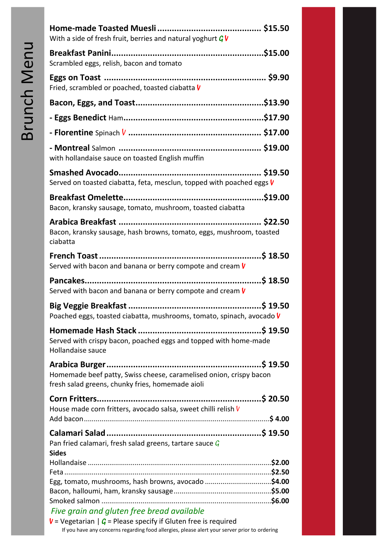| With a side of fresh fruit, berries and natural yoghurt $G$ V                                                          |  |
|------------------------------------------------------------------------------------------------------------------------|--|
| Scrambled eggs, relish, bacon and tomato                                                                               |  |
| Fried, scrambled or poached, toasted ciabatta V                                                                        |  |
|                                                                                                                        |  |
|                                                                                                                        |  |
|                                                                                                                        |  |
| with hollandaise sauce on toasted English muffin                                                                       |  |
| Served on toasted ciabatta, feta, mesclun, topped with poached eggs V                                                  |  |
| Bacon, kransky sausage, tomato, mushroom, toasted ciabatta                                                             |  |
| Bacon, kransky sausage, hash browns, tomato, eggs, mushroom, toasted<br>ciabatta                                       |  |
| Served with bacon and banana or berry compote and cream $V$                                                            |  |
| Served with bacon and banana or berry compote and cream $V$                                                            |  |
| Poached eggs, toasted ciabatta, mushrooms, tomato, spinach, avocado V                                                  |  |
| Served with crispy bacon, poached eggs and topped with home-made<br>Hollandaise sauce                                  |  |
| Homemade beef patty, Swiss cheese, caramelised onion, crispy bacon<br>fresh salad greens, chunky fries, homemade aioli |  |
| House made corn fritters, avocado salsa, sweet chilli relish V                                                         |  |
|                                                                                                                        |  |
| Pan fried calamari, fresh salad greens, tartare sauce $\mathcal G$<br><b>Sides</b>                                     |  |
|                                                                                                                        |  |
|                                                                                                                        |  |
| Egg, tomato, mushrooms, hash browns, avocado \$4.00                                                                    |  |
|                                                                                                                        |  |
| Five grain and gluten free bread available                                                                             |  |

**V** = Vegetarian  $|G =$  Please specify if Gluten free is required If you have any concerns regarding food allergies, please alert your server prior to ordering